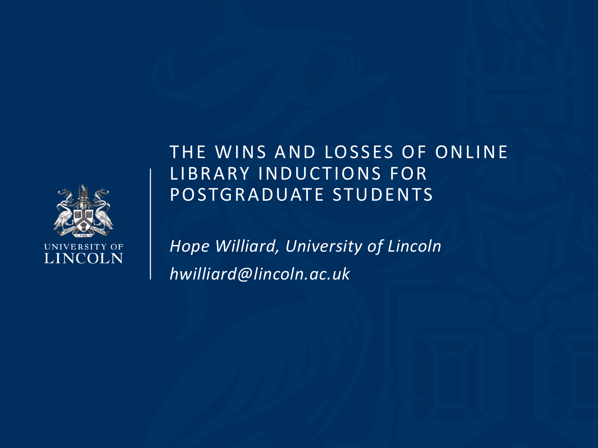

## THE WINS AND LOSSES OF ONLINE LIBRARY INDUCTIONS FOR POSTGRADUATE STUDENTS

*Hope Williard, University of Lincoln hwilliard@lincoln.ac.uk*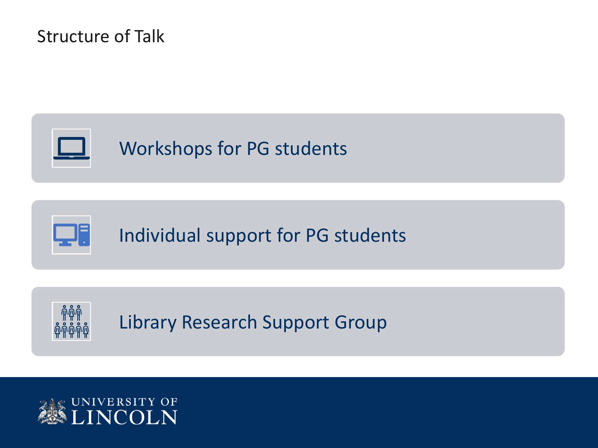#### Structure of Talk



Individual support for PG students



QF.

Library Research Support Group

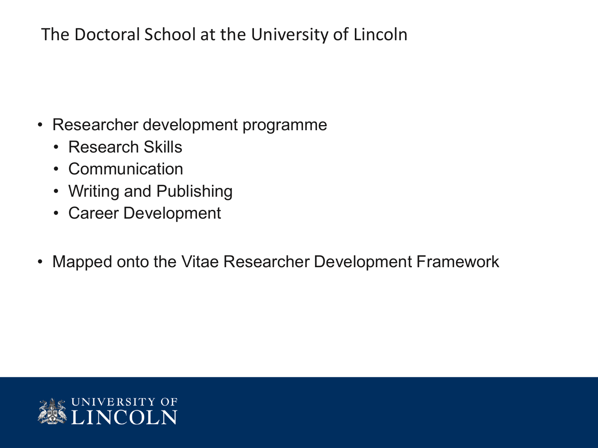#### The Doctoral School at the University of Lincoln

- Researcher development programme
	- Research Skills
	- Communication
	- Writing and Publishing
	- Career Development
- Mapped onto the Vitae Researcher Development Framework

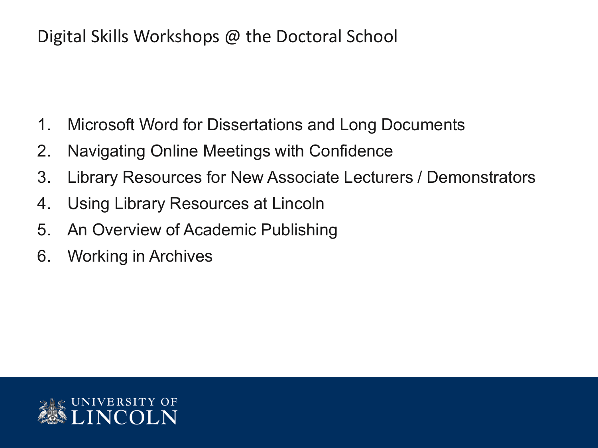#### Digital Skills Workshops @ the Doctoral School

- 1. Microsoft Word for Dissertations and Long Documents
- 2. Navigating Online Meetings with Confidence
- 3. Library Resources for New Associate Lecturers / Demonstrators
- 4. Using Library Resources at Lincoln
- 5. An Overview of Academic Publishing
- 6. Working in Archives

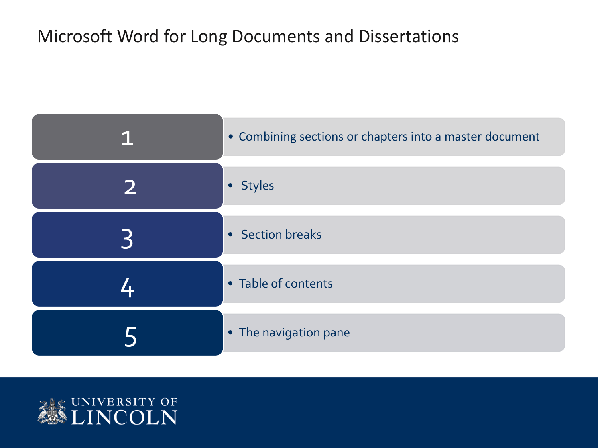## Microsoft Word for Long Documents and Dissertations

| • Combining sections or chapters into a master document |
|---------------------------------------------------------|
| • Styles                                                |
| • Section breaks                                        |
| • Table of contents                                     |
| • The navigation pane                                   |

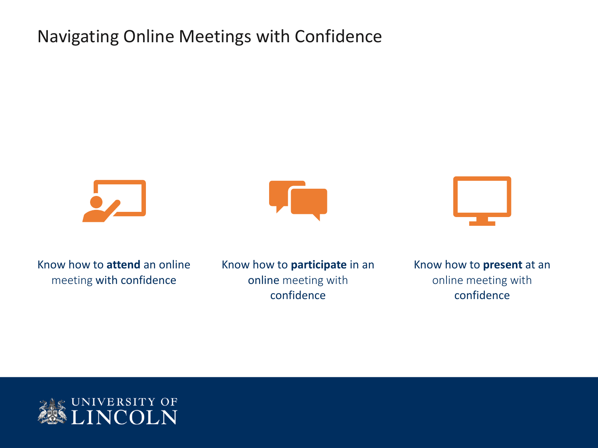#### Navigating Online Meetings with Confidence







Know how to **attend** an online meeting with confidence

Know how to **participate** in an online meeting with confidence

Know how to **present** at an online meeting with confidence

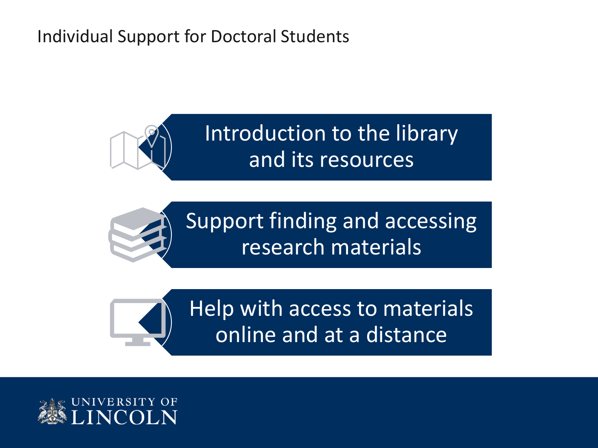#### Individual Support for Doctoral Students







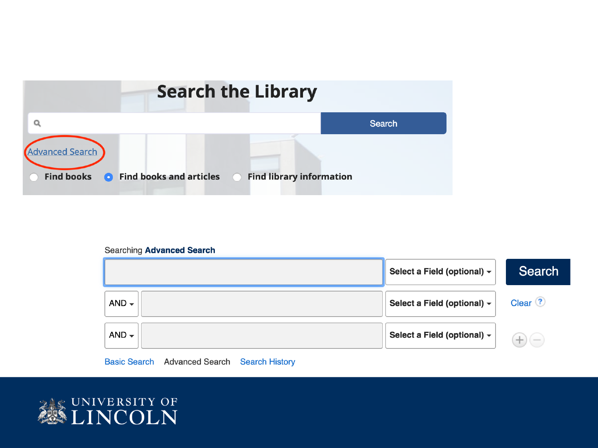

#### **Searching Advanced Search**



#### **Basic Search Advanced Search Search History**

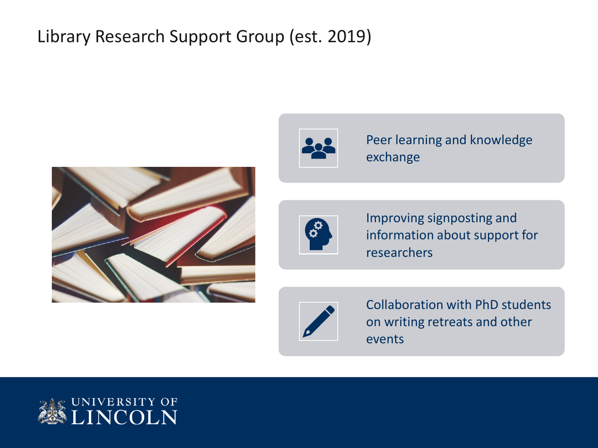## Library Research Support Group (est. 2019)





Peer learning and knowledge exchange



Improving signposting and information about support for researchers



Collaboration with PhD students on writing retreats and other events